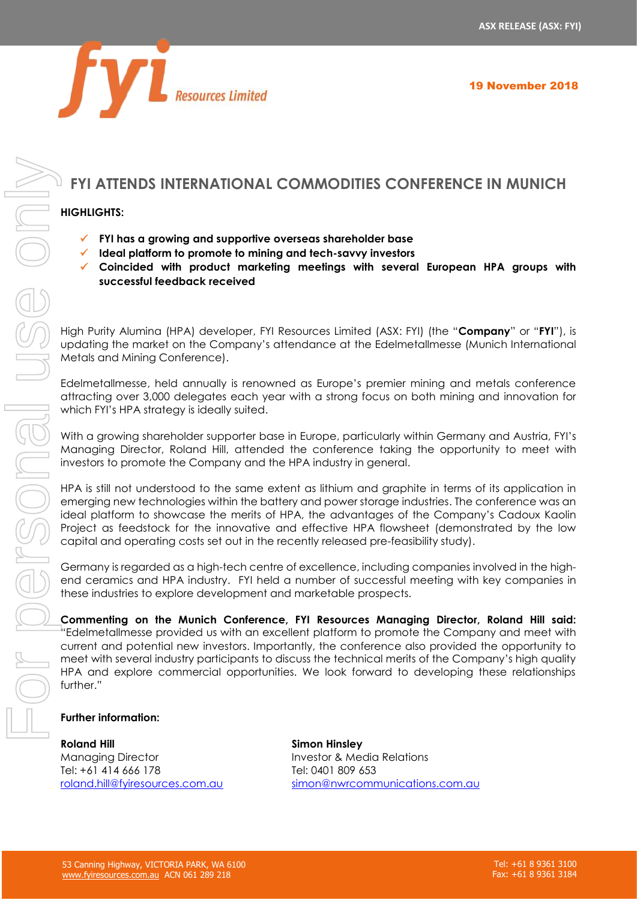

# **FYI ATTENDS INTERNATIONAL COMMODITIES CONFERENCE IN MUNICH**

# **HIGHLIGHTS:**

- ✓ **FYI has a growing and supportive overseas shareholder base**
- **Ideal platform to promote to mining and tech-savvy investors**
- ✓ **Coincided with product marketing meetings with several European HPA groups with successful feedback received**

High Purity Alumina (HPA) developer, FYI Resources Limited (ASX: FYI) (the "**Company**" or "**FYI**"), is updating the market on the Company's attendance at the Edelmetallmesse (Munich International Metals and Mining Conference).

Edelmetallmesse, held annually is renowned as Europe's premier mining and metals conference attracting over 3,000 delegates each year with a strong focus on both mining and innovation for which FYI's HPA strategy is ideally suited.

With a growing shareholder supporter base in Europe, particularly within Germany and Austria, FYI's Managing Director, Roland Hill, attended the conference taking the opportunity to meet with investors to promote the Company and the HPA industry in general.

HPA is still not understood to the same extent as lithium and graphite in terms of its application in emerging new technologies within the battery and power storage industries. The conference was an ideal platform to showcase the merits of HPA, the advantages of the Company's Cadoux Kaolin Project as feedstock for the innovative and effective HPA flowsheet (demonstrated by the low capital and operating costs set out in the recently released pre-feasibility study).

Germany is regarded as a high-tech centre of excellence, including companies involved in the highend ceramics and HPA industry. FYI held a number of successful meeting with key companies in these industries to explore development and marketable prospects.

**Commenting on the Munich Conference, FYI Resources Managing Director, Roland Hill said:** "Edelmetallmesse provided us with an excellent platform to promote the Company and meet with current and potential new investors. Importantly, the conference also provided the opportunity to meet with several industry participants to discuss the technical merits of the Company's high quality HPA and explore commercial opportunities. We look forward to developing these relationships further." FYI ATTENDS INTERNATIONAL COMMODITIES CONFERENCE<br>
INCRUGING:<br>
FRI has a growing and supportive overseas shareholder base<br>
Coincided with product marking and tech-savy investors.<br>
Coincided with product marking meetings wit

## **Further information:**

**Roland Hill Simon Hinsley** Managing Director **Investor & Media Relations** Tel: +61 414 666 178 Tel: 0401 809 653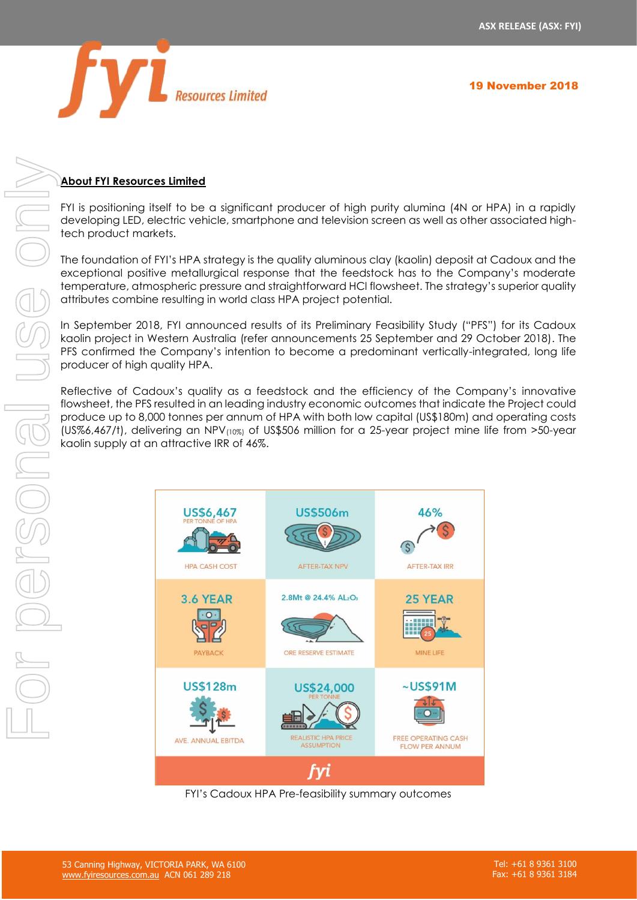19 November 2018



FYI is positioning itself to be a significant producer of high purity alumina (4N or HPA) in a rapidly developing LED, electric vehicle, smartphone and television screen as well as other associated hightech product markets.

The foundation of FYI's HPA strategy is the quality aluminous clay (kaolin) deposit at Cadoux and the exceptional positive metallurgical response that the feedstock has to the Company's moderate temperature, atmospheric pressure and straightforward HCl flowsheet. The strategy's superior quality attributes combine resulting in world class HPA project potential.

In September 2018, FYI announced results of its Preliminary Feasibility Study ("PFS") for its Cadoux kaolin project in Western Australia (refer announcements 25 September and 29 October 2018). The PFS confirmed the Company's intention to become a predominant vertically-integrated, long life producer of high quality HPA.

Reflective of Cadoux's quality as a feedstock and the efficiency of the Company's innovative flowsheet, the PFS resulted in an leading industry economic outcomes that indicate the Project could produce up to 8,000 tonnes per annum of HPA with both low capital (US\$180m) and operating costs (US%6,467/t), delivering an NPV(10%) of US\$506 million for a 25-year project mine life from >50-year kaolin supply at an attractive IRR of 46%.



FYI's Cadoux HPA Pre-feasibility summary outcomes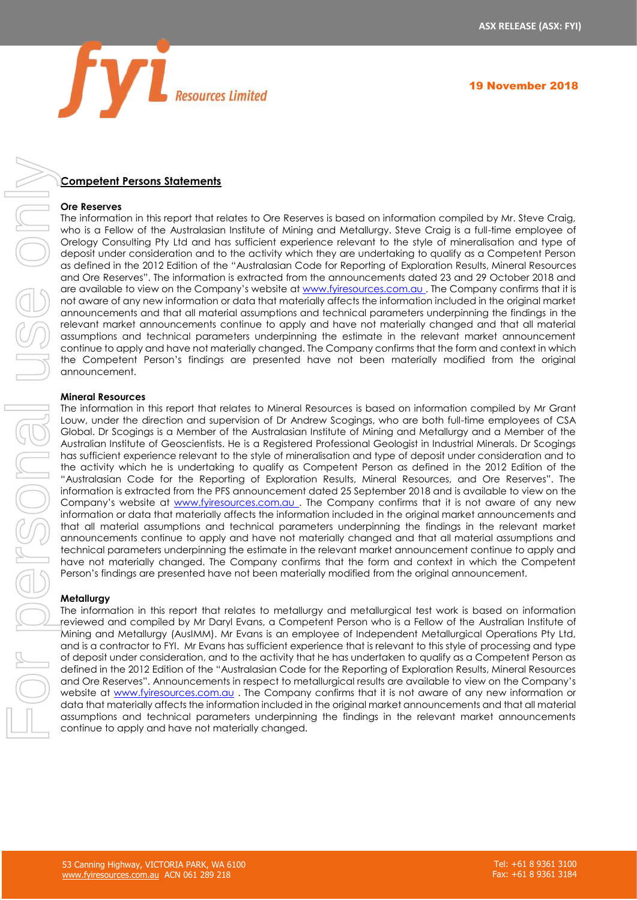

## **Competent Persons Statements**

#### **Ore Reserves**

The information in this report that relates to Ore Reserves is based on information compiled by Mr. Steve Craig, who is a Fellow of the Australasian Institute of Mining and Metallurgy. Steve Craig is a full-time employee of Orelogy Consulting Pty Ltd and has sufficient experience relevant to the style of mineralisation and type of deposit under consideration and to the activity which they are undertaking to qualify as a Competent Person as defined in the 2012 Edition of the "Australasian Code for Reporting of Exploration Results, Mineral Resources and Ore Reserves". The information is extracted from the announcements dated 23 and 29 October 2018 and are available to view on the Company's website at [www.fyiresources.com.au](http://www.fyiresources.com.au/). The Company confirms that it is not aware of any new information or data that materially affects the information included in the original market announcements and that all material assumptions and technical parameters underpinning the findings in the relevant market announcements continue to apply and have not materially changed and that all material assumptions and technical parameters underpinning the estimate in the relevant market announcement continue to apply and have not materially changed. The Company confirms that the form and context in which the Competent Person's findings are presented have not been materially modified from the original announcement.

#### **Mineral Resources**

The information in this report that relates to Mineral Resources is based on information compiled by Mr Grant Louw, under the direction and supervision of Dr Andrew Scogings, who are both full-time employees of CSA Global. Dr Scogings is a Member of the Australasian Institute of Mining and Metallurgy and a Member of the Australian Institute of Geoscientists. He is a Registered Professional Geologist in Industrial Minerals. Dr Scogings has sufficient experience relevant to the style of mineralisation and type of deposit under consideration and to the activity which he is undertaking to qualify as Competent Person as defined in the 2012 Edition of the "Australasian Code for the Reporting of Exploration Results, Mineral Resources, and Ore Reserves". The information is extracted from the PFS announcement dated 25 September 2018 and is available to view on the Company's website at [www.fyiresources.com.au](http://www.fyiresources.com.au/). The Company confirms that it is not aware of any new information or data that materially affects the information included in the original market announcements and that all material assumptions and technical parameters underpinning the findings in the relevant market announcements continue to apply and have not materially changed and that all material assumptions and technical parameters underpinning the estimate in the relevant market announcement continue to apply and have not materially changed. The Company confirms that the form and context in which the Competent Person's findings are presented have not been materially modified from the original announcement. **Example 12 Coverage in the relevant market and technical parameters under the relevant market and the relevant market and the relevant market and the relevant market and the relevant market and the relevant market and t** 

#### **Metallurgy**

The information in this report that relates to metallurgy and metallurgical test work is based on information reviewed and compiled by Mr Daryl Evans, a Competent Person who is a Fellow of the Australian Institute of Mining and Metallurgy (AusIMM). Mr Evans is an employee of Independent Metallurgical Operations Pty Ltd, and is a contractor to FYI. Mr Evans has sufficient experience that is relevant to this style of processing and type of deposit under consideration, and to the activity that he has undertaken to qualify as a Competent Person as defined in the 2012 Edition of the "Australasian Code for the Reporting of Exploration Results, Mineral Resources and Ore Reserves". Announcements in respect to metallurgical results are available to view on the Company's website at [www.fyiresources.com.au](http://www.fyiresources.com.au/) . The Company confirms that it is not aware of any new information or data that materially affects the information included in the original market announcements and that all material